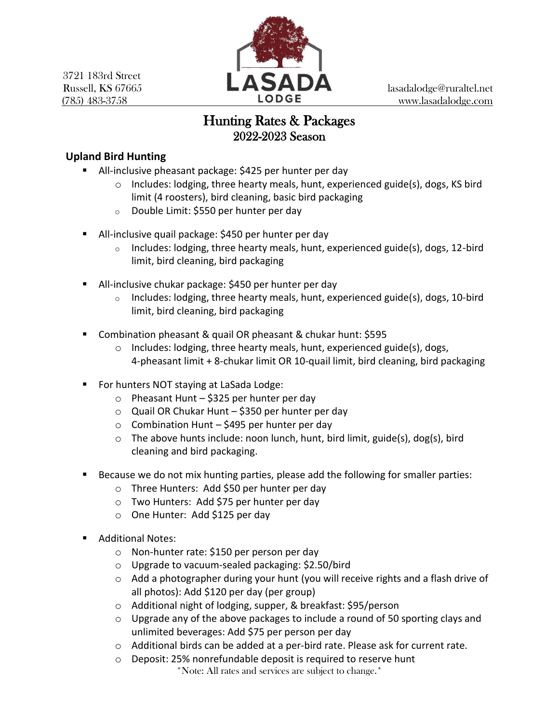3721 183rd Street



# Hunting Rates & Packages 2022-2023 Season

## **Upland Bird Hunting**

- All-inclusive pheasant package: \$425 per hunter per day
	- o Includes: lodging, three hearty meals, hunt, experienced guide(s), dogs, KS bird limit (4 roosters), bird cleaning, basic bird packaging
	- o Double Limit: \$550 per hunter per day
- All-inclusive quail package: \$450 per hunter per day
	- $\circ$  Includes: lodging, three hearty meals, hunt, experienced guide(s), dogs, 12-bird limit, bird cleaning, bird packaging
- All-inclusive chukar package: \$450 per hunter per day
	- $\circ$  Includes: lodging, three hearty meals, hunt, experienced guide(s), dogs, 10-bird limit, bird cleaning, bird packaging
- Combination pheasant & quail OR pheasant & chukar hunt: \$595
	- o Includes: lodging, three hearty meals, hunt, experienced guide(s), dogs, 4-pheasant limit + 8-chukar limit OR 10-quail limit, bird cleaning, bird packaging
- For hunters NOT staying at LaSada Lodge:
	- $\circ$  Pheasant Hunt \$325 per hunter per day
	- $\circ$  Quail OR Chukar Hunt \$350 per hunter per day
	- $\circ$  Combination Hunt \$495 per hunter per day
	- $\circ$  The above hunts include: noon lunch, hunt, bird limit, guide(s), dog(s), bird cleaning and bird packaging.
- Because we do not mix hunting parties, please add the following for smaller parties:
	- o Three Hunters: Add \$50 per hunter per day
	- o Two Hunters: Add \$75 per hunter per day
	- o One Hunter: Add \$125 per day
- Additional Notes:
	- o Non-hunter rate: \$150 per person per day
	- o Upgrade to vacuum-sealed packaging: \$2.50/bird
	- o Add a photographer during your hunt (you will receive rights and a flash drive of all photos): Add \$120 per day (per group)
	- o Additional night of lodging, supper, & breakfast: \$95/person
	- $\circ$  Upgrade any of the above packages to include a round of 50 sporting clays and unlimited beverages: Add \$75 per person per day
	- $\circ$  Additional birds can be added at a per-bird rate. Please ask for current rate.
	- \*Note: All rates and services are subject to change.\* o Deposit: 25% nonrefundable deposit is required to reserve hunt